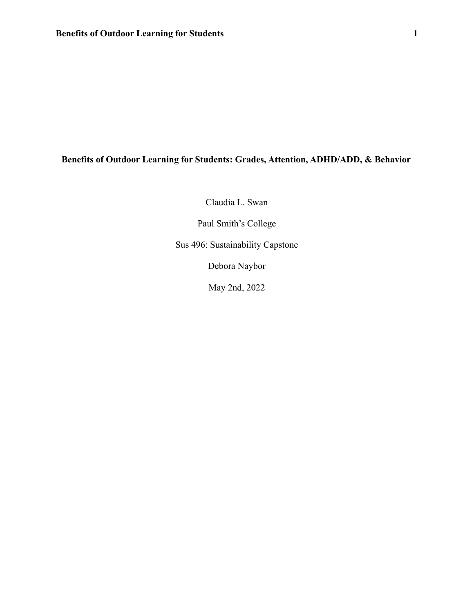# **Benefits of Outdoor Learning for Students: Grades, Attention, ADHD/ADD, & Behavior**

Claudia L. Swan

Paul Smith's College

Sus 496: Sustainability Capstone

Debora Naybor

May 2nd, 2022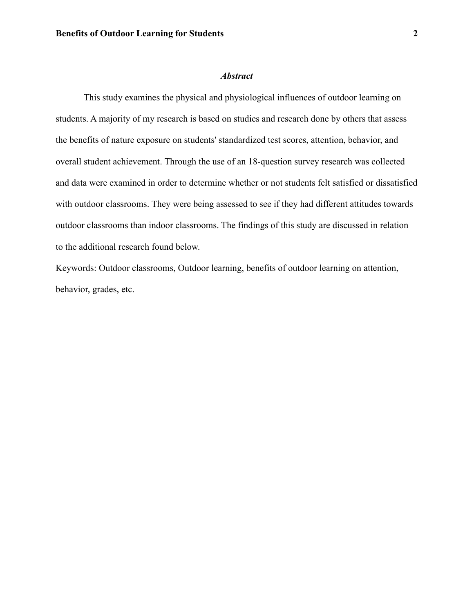#### *Abstract*

This study examines the physical and physiological influences of outdoor learning on students. A majority of my research is based on studies and research done by others that assess the benefits of nature exposure on students' standardized test scores, attention, behavior, and overall student achievement. Through the use of an 18-question survey research was collected and data were examined in order to determine whether or not students felt satisfied or dissatisfied with outdoor classrooms. They were being assessed to see if they had different attitudes towards outdoor classrooms than indoor classrooms. The findings of this study are discussed in relation to the additional research found below.

Keywords: Outdoor classrooms, Outdoor learning, benefits of outdoor learning on attention, behavior, grades, etc.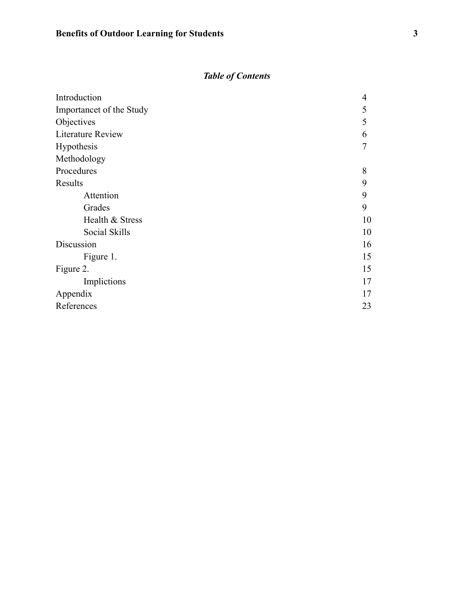# *Table of Contents*

| Introduction             | $\overline{4}$ |
|--------------------------|----------------|
| Importancet of the Study | 5              |
| Objectives               | 5              |
| <b>Literature Review</b> | 6              |
| Hypothesis               | 7              |
| Methodology              |                |
| Procedures               | 8              |
| Results                  | 9              |
| Attention                | 9              |
| Grades                   | 9              |
| Health & Stress          | 10             |
| Social Skills            | 10             |
| Discussion               | 16             |
| Figure 1.                | 15             |
| Figure 2.                | 15             |
| Implictions              | 17             |
| Appendix                 | 17             |
| References               | 23             |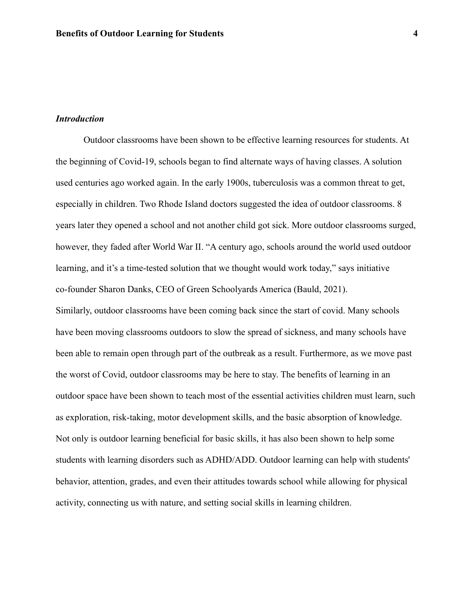### *Introduction*

Outdoor classrooms have been shown to be effective learning resources for students. At the beginning of Covid-19, schools began to find alternate ways of having classes. A solution used centuries ago worked again. In the early 1900s, tuberculosis was a common threat to get, especially in children. Two Rhode Island doctors suggested the idea of outdoor classrooms. 8 years later they opened a school and not another child got sick. More outdoor classrooms surged, however, they faded after World War II. "A century ago, schools around the world used outdoor learning, and it's a time-tested solution that we thought would work today," says initiative co-founder Sharon Danks, CEO of Green Schoolyards America (Bauld, 2021).

Similarly, outdoor classrooms have been coming back since the start of covid. Many schools have been moving classrooms outdoors to slow the spread of sickness, and many schools have been able to remain open through part of the outbreak as a result. Furthermore, as we move past the worst of Covid, outdoor classrooms may be here to stay. The benefits of learning in an outdoor space have been shown to teach most of the essential activities children must learn, such as exploration, risk-taking, motor development skills, and the basic absorption of knowledge. Not only is outdoor learning beneficial for basic skills, it has also been shown to help some students with learning disorders such as ADHD/ADD. Outdoor learning can help with students' behavior, attention, grades, and even their attitudes towards school while allowing for physical activity, connecting us with nature, and setting social skills in learning children.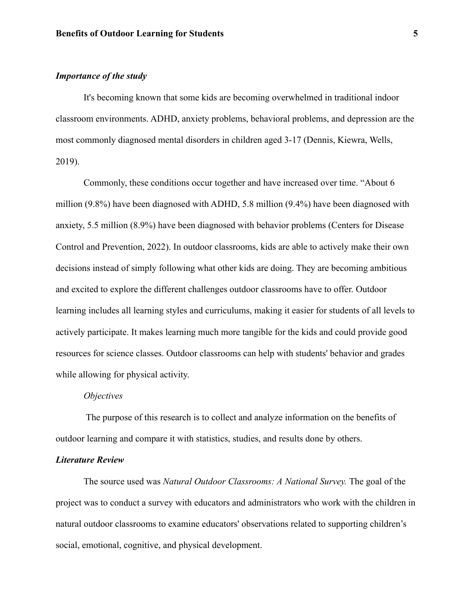# *Importance of the study*

It's becoming known that some kids are becoming overwhelmed in traditional indoor classroom environments. ADHD, anxiety problems, behavioral problems, and depression are the most commonly diagnosed mental disorders in children aged 3-17 (Dennis, Kiewra, Wells, 2019).

Commonly, these conditions occur together and have increased over time. "About 6 million (9.8%) have been diagnosed with ADHD, 5.8 million (9.4%) have been diagnosed with anxiety, 5.5 million (8.9%) have been diagnosed with behavior problems (Centers for Disease Control and Prevention, 2022). In outdoor classrooms, kids are able to actively make their own decisions instead of simply following what other kids are doing. They are becoming ambitious and excited to explore the different challenges outdoor classrooms have to offer. Outdoor learning includes all learning styles and curriculums, making it easier for students of all levels to actively participate. It makes learning much more tangible for the kids and could provide good resources for science classes. Outdoor classrooms can help with students' behavior and grades while allowing for physical activity.

#### *Objectives*

The purpose of this research is to collect and analyze information on the benefits of outdoor learning and compare it with statistics, studies, and results done by others.

### *Literature Review*

The source used was *Natural Outdoor Classrooms: A National Survey.* The goal of the project was to conduct a survey with educators and administrators who work with the children in natural outdoor classrooms to examine educators' observations related to supporting children's social, emotional, cognitive, and physical development.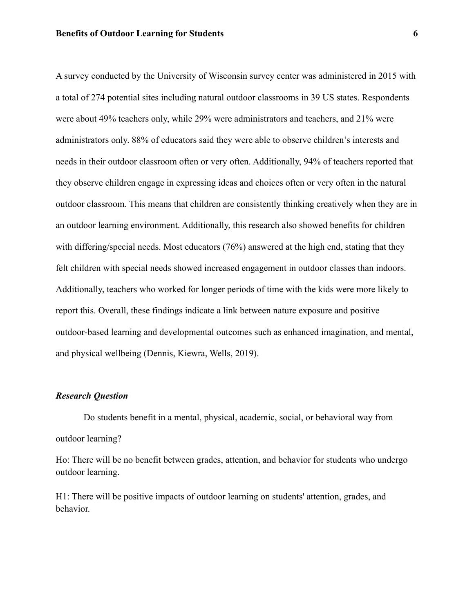A survey conducted by the University of Wisconsin survey center was administered in 2015 with a total of 274 potential sites including natural outdoor classrooms in 39 US states. Respondents were about 49% teachers only, while 29% were administrators and teachers, and 21% were administrators only. 88% of educators said they were able to observe children's interests and needs in their outdoor classroom often or very often. Additionally, 94% of teachers reported that they observe children engage in expressing ideas and choices often or very often in the natural outdoor classroom. This means that children are consistently thinking creatively when they are in an outdoor learning environment. Additionally, this research also showed benefits for children with differing/special needs. Most educators (76%) answered at the high end, stating that they felt children with special needs showed increased engagement in outdoor classes than indoors. Additionally, teachers who worked for longer periods of time with the kids were more likely to report this. Overall, these findings indicate a link between nature exposure and positive outdoor-based learning and developmental outcomes such as enhanced imagination, and mental, and physical wellbeing (Dennis, Kiewra, Wells, 2019).

### *Research Question*

Do students benefit in a mental, physical, academic, social, or behavioral way from outdoor learning?

Ho: There will be no benefit between grades, attention, and behavior for students who undergo outdoor learning.

H1: There will be positive impacts of outdoor learning on students' attention, grades, and behavior.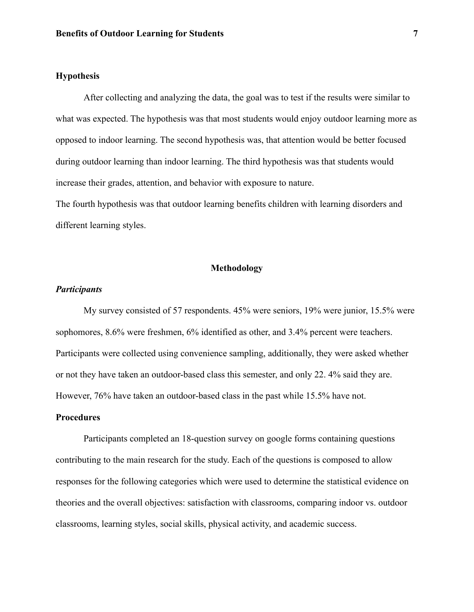# **Hypothesis**

After collecting and analyzing the data, the goal was to test if the results were similar to what was expected. The hypothesis was that most students would enjoy outdoor learning more as opposed to indoor learning. The second hypothesis was, that attention would be better focused during outdoor learning than indoor learning. The third hypothesis was that students would increase their grades, attention, and behavior with exposure to nature.

The fourth hypothesis was that outdoor learning benefits children with learning disorders and different learning styles.

# **Methodology**

# *Participants*

My survey consisted of 57 respondents. 45% were seniors, 19% were junior, 15.5% were sophomores, 8.6% were freshmen, 6% identified as other, and 3.4% percent were teachers. Participants were collected using convenience sampling, additionally, they were asked whether or not they have taken an outdoor-based class this semester, and only 22. 4% said they are. However, 76% have taken an outdoor-based class in the past while 15.5% have not.

### **Procedures**

Participants completed an 18-question survey on google forms containing questions contributing to the main research for the study. Each of the questions is composed to allow responses for the following categories which were used to determine the statistical evidence on theories and the overall objectives: satisfaction with classrooms, comparing indoor vs. outdoor classrooms, learning styles, social skills, physical activity, and academic success.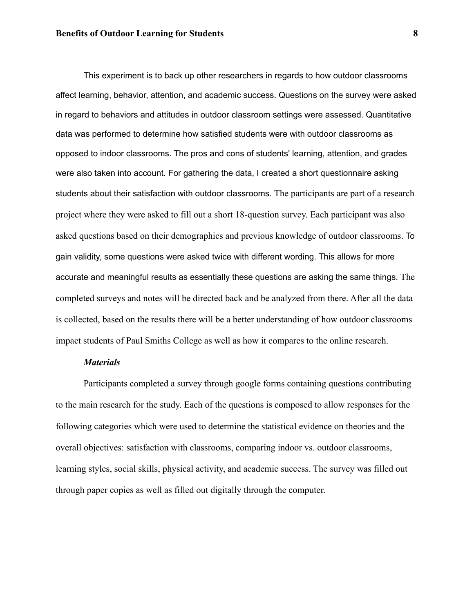#### **Benefits of Outdoor Learning for Students 8**

This experiment is to back up other researchers in regards to how outdoor classrooms affect learning, behavior, attention, and academic success. Questions on the survey were asked in regard to behaviors and attitudes in outdoor classroom settings were assessed. Quantitative data was performed to determine how satisfied students were with outdoor classrooms as opposed to indoor classrooms. The pros and cons of students' learning, attention, and grades were also taken into account. For gathering the data, I created a short questionnaire asking students about their satisfaction with outdoor classrooms. The participants are part of a research project where they were asked to fill out a short 18-question survey. Each participant was also asked questions based on their demographics and previous knowledge of outdoor classrooms. To gain validity, some questions were asked twice with different wording. This allows for more accurate and meaningful results as essentially these questions are asking the same things. The completed surveys and notes will be directed back and be analyzed from there. After all the data is collected, based on the results there will be a better understanding of how outdoor classrooms impact students of Paul Smiths College as well as how it compares to the online research.

# *Materials*

Participants completed a survey through google forms containing questions contributing to the main research for the study. Each of the questions is composed to allow responses for the following categories which were used to determine the statistical evidence on theories and the overall objectives: satisfaction with classrooms, comparing indoor vs. outdoor classrooms, learning styles, social skills, physical activity, and academic success. The survey was filled out through paper copies as well as filled out digitally through the computer.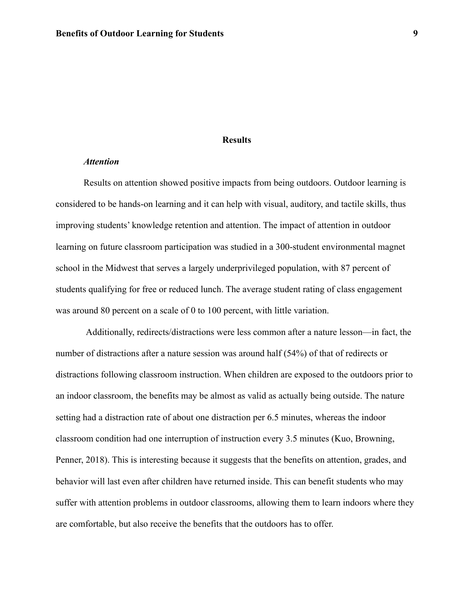### **Results**

#### *Attention*

Results on attention showed positive impacts from being outdoors. Outdoor learning is considered to be hands-on learning and it can help with visual, auditory, and tactile skills, thus improving students' knowledge retention and attention. The impact of attention in outdoor learning on future classroom participation was studied in a 300-student environmental magnet school in the Midwest that serves a largely underprivileged population, with 87 percent of students qualifying for free or reduced lunch. The average student rating of class engagement was around 80 percent on a scale of 0 to 100 percent, with little variation.

Additionally, redirects/distractions were less common after a nature lesson—in fact, the number of distractions after a nature session was around half (54%) of that of redirects or distractions following classroom instruction. When children are exposed to the outdoors prior to an indoor classroom, the benefits may be almost as valid as actually being outside. The nature setting had a distraction rate of about one distraction per 6.5 minutes, whereas the indoor classroom condition had one interruption of instruction every 3.5 minutes (Kuo, Browning, Penner, 2018). This is interesting because it suggests that the benefits on attention, grades, and behavior will last even after children have returned inside. This can benefit students who may suffer with attention problems in outdoor classrooms, allowing them to learn indoors where they are comfortable, but also receive the benefits that the outdoors has to offer.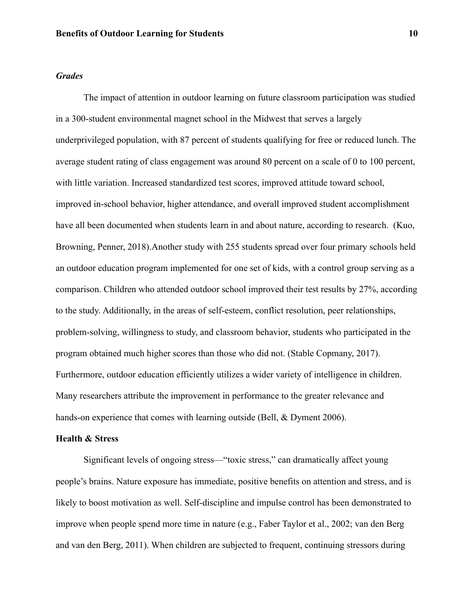# *Grades*

The impact of attention in outdoor learning on future classroom participation was studied in a 300-student environmental magnet school in the Midwest that serves a largely underprivileged population, with 87 percent of students qualifying for free or reduced lunch. The average student rating of class engagement was around 80 percent on a scale of 0 to 100 percent, with little variation. Increased standardized test scores, improved attitude toward school, improved in-school behavior, higher attendance, and overall improved student accomplishment have all been documented when students learn in and about nature, according to research. (Kuo, Browning, Penner, 2018).Another study with 255 students spread over four primary schools held an outdoor education program implemented for one set of kids, with a control group serving as a comparison. Children who attended outdoor school improved their test results by 27%, according to the study. Additionally, in the areas of self-esteem, conflict resolution, peer relationships, problem-solving, willingness to study, and classroom behavior, students who participated in the program obtained much higher scores than those who did not. (Stable Copmany, 2017). Furthermore, outdoor education efficiently utilizes a wider variety of intelligence in children. Many researchers attribute the improvement in performance to the greater relevance and hands-on experience that comes with learning outside (Bell, & Dyment 2006).

### **Health & Stress**

Significant levels of ongoing stress—"toxic stress," can dramatically affect young people's brains. Nature exposure has immediate, positive benefits on attention and stress, and is likely to boost motivation as well. Self-discipline and impulse control has been demonstrated to improve when people spend more time in nature (e.g., Faber Taylor et al., 2002; van den Berg and van den Berg, 2011). When children are subjected to frequent, continuing stressors during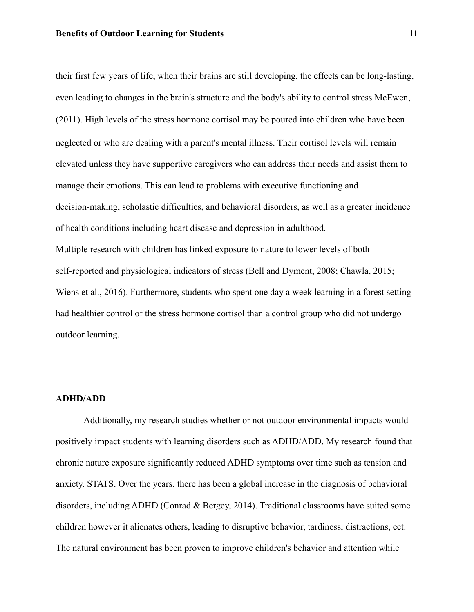their first few years of life, when their brains are still developing, the effects can be long-lasting, even leading to changes in the brain's structure and the body's ability to control stress McEwen, (2011). High levels of the stress hormone cortisol may be poured into children who have been neglected or who are dealing with a parent's mental illness. Their cortisol levels will remain elevated unless they have supportive caregivers who can address their needs and assist them to manage their emotions. This can lead to problems with executive functioning and decision-making, scholastic difficulties, and behavioral disorders, as well as a greater incidence of health conditions including heart disease and depression in adulthood. Multiple research with children has linked exposure to nature to lower levels of both self-reported and physiological indicators of stress (Bell and Dyment, 2008; Chawla, 2015; Wiens et al., 2016). Furthermore, students who spent one day a week learning in a forest setting had healthier control of the stress hormone cortisol than a control group who did not undergo outdoor learning.

#### **ADHD/ADD**

Additionally, my research studies whether or not outdoor environmental impacts would positively impact students with learning disorders such as ADHD/ADD. My research found that chronic nature exposure significantly reduced ADHD symptoms over time such as tension and anxiety. STATS. Over the years, there has been a global increase in the diagnosis of behavioral disorders, including ADHD (Conrad & Bergey, 2014). Traditional classrooms have suited some children however it alienates others, leading to disruptive behavior, tardiness, distractions, ect. The natural environment has been proven to improve children's behavior and attention while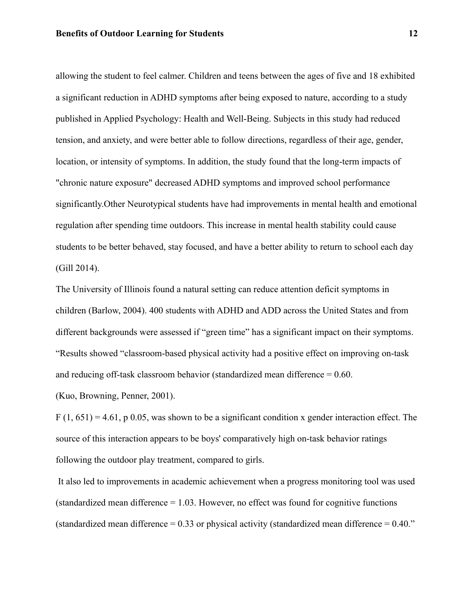allowing the student to feel calmer. Children and teens between the ages of five and 18 exhibited a significant reduction in ADHD symptoms after being exposed to nature, according to a study published in Applied Psychology: Health and Well-Being. Subjects in this study had reduced tension, and anxiety, and were better able to follow directions, regardless of their age, gender, location, or intensity of symptoms. In addition, the study found that the long-term impacts of "chronic nature exposure" decreased ADHD symptoms and improved school performance significantly.Other Neurotypical students have had improvements in mental health and emotional regulation after spending time outdoors. This increase in mental health stability could cause students to be better behaved, stay focused, and have a better ability to return to school each day (Gill 2014).

The University of Illinois found a natural setting can reduce attention deficit symptoms in children (Barlow, 2004). 400 students with ADHD and ADD across the United States and from different backgrounds were assessed if "green time" has a significant impact on their symptoms. "Results showed "classroom-based physical activity had a positive effect on improving on-task and reducing off-task classroom behavior (standardized mean difference = 0.60.

(Kuo, Browning, Penner, 2001).

 $F(1, 651) = 4.61$ , p 0.05, was shown to be a significant condition x gender interaction effect. The source of this interaction appears to be boys' comparatively high on-task behavior ratings following the outdoor play treatment, compared to girls.

It also led to improvements in academic achievement when a progress monitoring tool was used (standardized mean difference  $= 1.03$ . However, no effect was found for cognitive functions (standardized mean difference  $= 0.33$  or physical activity (standardized mean difference  $= 0.40$ .")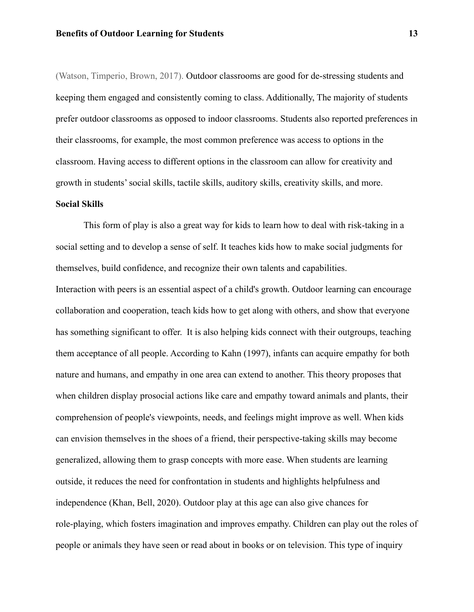(Watson, Timperio, Brown, 2017). Outdoor classrooms are good for de-stressing students and keeping them engaged and consistently coming to class. Additionally, The majority of students prefer outdoor classrooms as opposed to indoor classrooms. Students also reported preferences in their classrooms, for example, the most common preference was access to options in the classroom. Having access to different options in the classroom can allow for creativity and growth in students' social skills, tactile skills, auditory skills, creativity skills, and more.

# **Social Skills**

This form of play is also a great way for kids to learn how to deal with risk-taking in a social setting and to develop a sense of self. It teaches kids how to make social judgments for themselves, build confidence, and recognize their own talents and capabilities.

Interaction with peers is an essential aspect of a child's growth. Outdoor learning can encourage collaboration and cooperation, teach kids how to get along with others, and show that everyone has something significant to offer. It is also helping kids connect with their outgroups, teaching them acceptance of all people. According to Kahn (1997), infants can acquire empathy for both nature and humans, and empathy in one area can extend to another. This theory proposes that when children display prosocial actions like care and empathy toward animals and plants, their comprehension of people's viewpoints, needs, and feelings might improve as well. When kids can envision themselves in the shoes of a friend, their perspective-taking skills may become generalized, allowing them to grasp concepts with more ease. When students are learning outside, it reduces the need for confrontation in students and highlights helpfulness and independence (Khan, Bell, 2020). Outdoor play at this age can also give chances for role-playing, which fosters imagination and improves empathy. Children can play out the roles of people or animals they have seen or read about in books or on television. This type of inquiry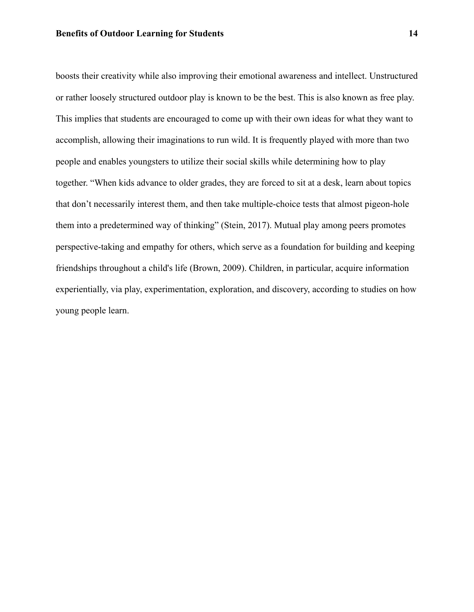boosts their creativity while also improving their emotional awareness and intellect. Unstructured or rather loosely structured outdoor play is known to be the best. This is also known as free play. This implies that students are encouraged to come up with their own ideas for what they want to accomplish, allowing their imaginations to run wild. It is frequently played with more than two people and enables youngsters to utilize their social skills while determining how to play together. "When kids advance to older grades, they are forced to sit at a desk, learn about topics that don't necessarily interest them, and then take multiple-choice tests that almost pigeon-hole them into a predetermined way of thinking" (Stein, 2017). Mutual play among peers promotes perspective-taking and empathy for others, which serve as a foundation for building and keeping friendships throughout a child's life (Brown, 2009). Children, in particular, acquire information experientially, via play, experimentation, exploration, and discovery, according to studies on how young people learn.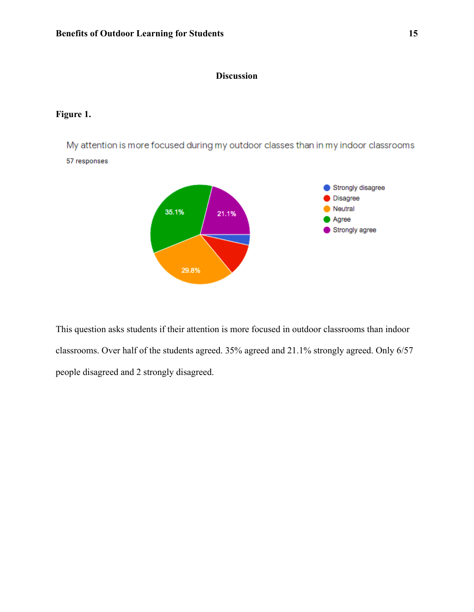# **Discussion**

# **Figure 1.**

My attention is more focused during my outdoor classes than in my indoor classrooms 57 responses



This question asks students if their attention is more focused in outdoor classrooms than indoor classrooms. Over half of the students agreed. 35% agreed and 21.1% strongly agreed. Only 6/57 people disagreed and 2 strongly disagreed.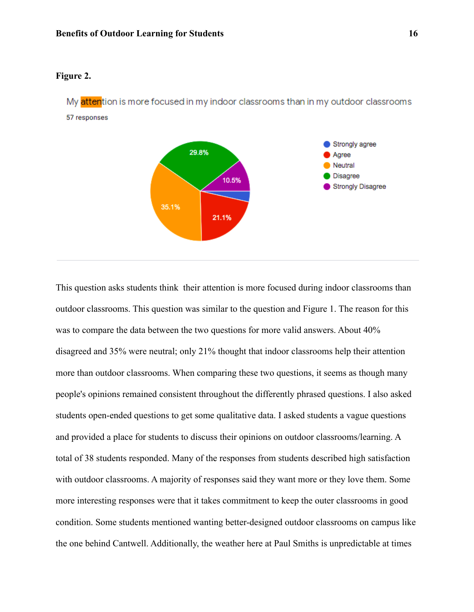# **Figure 2.**

My attention is more focused in my indoor classrooms than in my outdoor classrooms 57 responses



This question asks students think their attention is more focused during indoor classrooms than outdoor classrooms. This question was similar to the question and Figure 1. The reason for this was to compare the data between the two questions for more valid answers. About 40% disagreed and 35% were neutral; only 21% thought that indoor classrooms help their attention more than outdoor classrooms. When comparing these two questions, it seems as though many people's opinions remained consistent throughout the differently phrased questions. I also asked students open-ended questions to get some qualitative data. I asked students a vague questions and provided a place for students to discuss their opinions on outdoor classrooms/learning. A total of 38 students responded. Many of the responses from students described high satisfaction with outdoor classrooms. A majority of responses said they want more or they love them. Some more interesting responses were that it takes commitment to keep the outer classrooms in good condition. Some students mentioned wanting better-designed outdoor classrooms on campus like the one behind Cantwell. Additionally, the weather here at Paul Smiths is unpredictable at times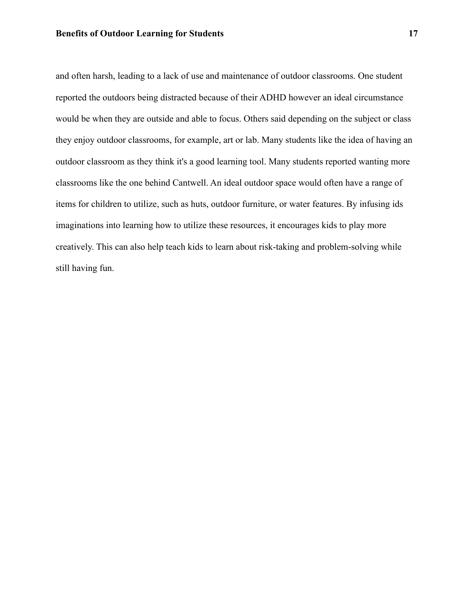and often harsh, leading to a lack of use and maintenance of outdoor classrooms. One student reported the outdoors being distracted because of their ADHD however an ideal circumstance would be when they are outside and able to focus. Others said depending on the subject or class they enjoy outdoor classrooms, for example, art or lab. Many students like the idea of having an outdoor classroom as they think it's a good learning tool. Many students reported wanting more classrooms like the one behind Cantwell. An ideal outdoor space would often have a range of items for children to utilize, such as huts, outdoor furniture, or water features. By infusing ids imaginations into learning how to utilize these resources, it encourages kids to play more creatively. This can also help teach kids to learn about risk-taking and problem-solving while still having fun.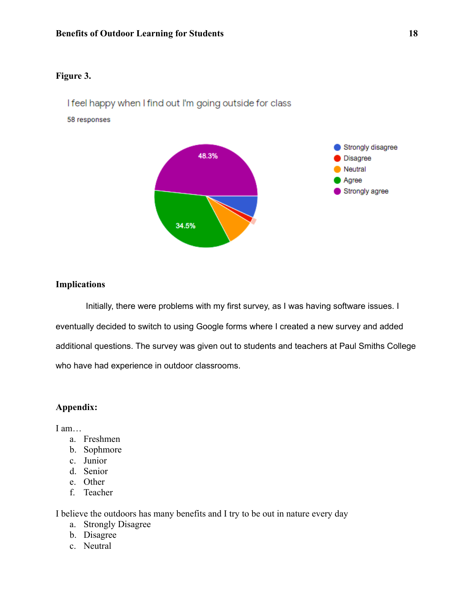# **Figure 3.**

I feel happy when I find out I'm going outside for class

58 responses



# **Implications**

Initially, there were problems with my first survey, as I was having software issues. I eventually decided to switch to using Google forms where I created a new survey and added additional questions. The survey was given out to students and teachers at Paul Smiths College who have had experience in outdoor classrooms.

# **Appendix:**

I am…

- a. Freshmen
- b. Sophmore
- c. Junior
- d. Senior
- e. Other
- f. Teacher

I believe the outdoors has many benefits and I try to be out in nature every day

- a. Strongly Disagree
- b. Disagree
- c. Neutral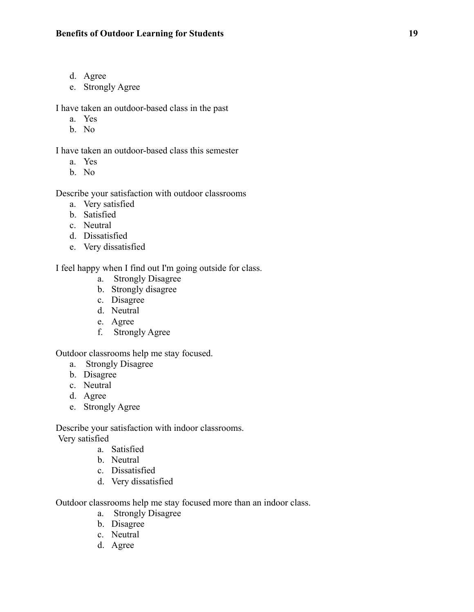- d. Agree
- e. Strongly Agree

I have taken an outdoor-based class in the past

- a. Yes
- b. No

I have taken an outdoor-based class this semester

- a. Yes
- b. No

Describe your satisfaction with outdoor classrooms

- a. Very satisfied
- b. Satisfied
- c. Neutral
- d. Dissatisfied
- e. Very dissatisfied

I feel happy when I find out I'm going outside for class.

- a. Strongly Disagree
- b. Strongly disagree
- c. Disagree
- d. Neutral
- e. Agree
- f. Strongly Agree

Outdoor classrooms help me stay focused.

- a. Strongly Disagree
- b. Disagree
- c. Neutral
- d. Agree
- e. Strongly Agree

Describe your satisfaction with indoor classrooms. Very satisfied

- a. Satisfied
- b. Neutral
- c. Dissatisfied
- d. Very dissatisfied

Outdoor classrooms help me stay focused more than an indoor class.

- a. Strongly Disagree
- b. Disagree
- c. Neutral
- d. Agree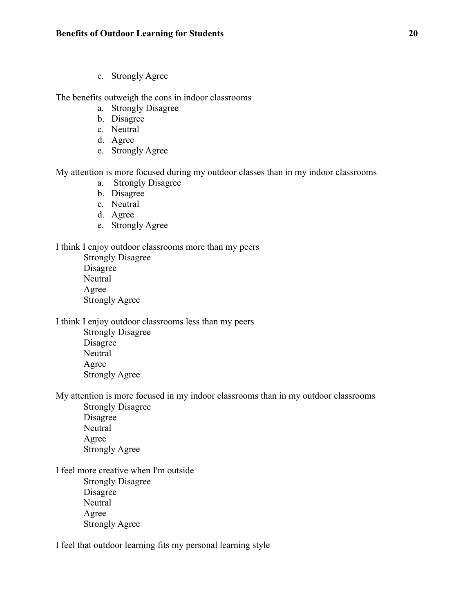e. Strongly Agree

The benefits outweigh the cons in indoor classrooms

- a. Strongly Disagree
- b. Disagree
- c. Neutral
- d. Agree
- e. Strongly Agree

My attention is more focused during my outdoor classes than in my indoor classrooms

- a. Strongly Disagree
- b. Disagree
- c. Neutral
- d. Agree
- e. Strongly Agree

# I think I enjoy outdoor classrooms more than my peers

Strongly Disagree Disagree **Neutral** Agree Strongly Agree

I think I enjoy outdoor classrooms less than my peers

Strongly Disagree Disagree Neutral Agree Strongly Agree

My attention is more focused in my indoor classrooms than in my outdoor classrooms Strongly Disagree

Disagree **Neutral** Agree Strongly Agree

I feel more creative when I'm outside Strongly Disagree Disagree **Neutral** Agree Strongly Agree

I feel that outdoor learning fits my personal learning style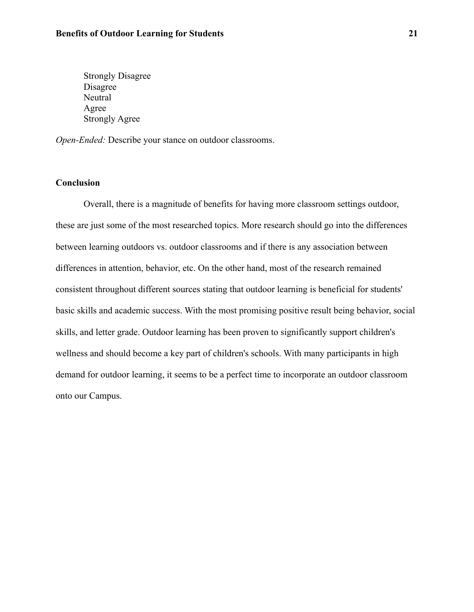Strongly Disagree Disagree Neutral Agree Strongly Agree

*Open-Ended:* Describe your stance on outdoor classrooms.

# **Conclusion**

Overall, there is a magnitude of benefits for having more classroom settings outdoor, these are just some of the most researched topics. More research should go into the differences between learning outdoors vs. outdoor classrooms and if there is any association between differences in attention, behavior, etc. On the other hand, most of the research remained consistent throughout different sources stating that outdoor learning is beneficial for students' basic skills and academic success. With the most promising positive result being behavior, social skills, and letter grade. Outdoor learning has been proven to significantly support children's wellness and should become a key part of children's schools. With many participants in high demand for outdoor learning, it seems to be a perfect time to incorporate an outdoor classroom onto our Campus.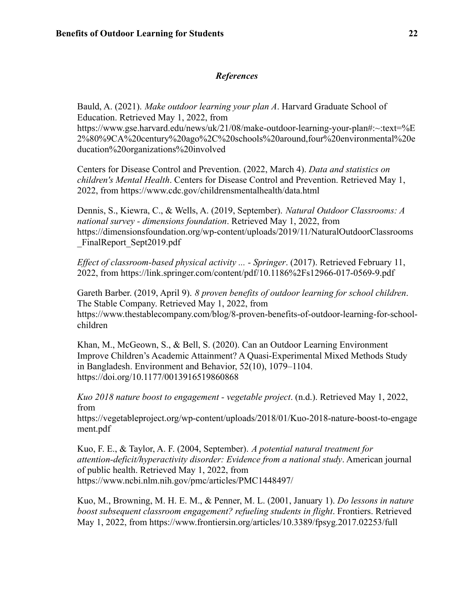# *References*

Bauld, A. (2021). *Make outdoor learning your plan A*. Harvard Graduate School of Education. Retrieved May 1, 2022, from https://www.gse.harvard.edu/news/uk/21/08/make-outdoor-learning-your-plan#:~:text=%E 2%80%9CA%20century%20ago%2C%20schools%20around,four%20environmental%20e ducation%20organizations%20involved

Centers for Disease Control and Prevention. (2022, March 4). *Data and statistics on children's Mental Health*. Centers for Disease Control and Prevention. Retrieved May 1, 2022, from https://www.cdc.gov/childrensmentalhealth/data.html

Dennis, S., Kiewra, C., & Wells, A. (2019, September). *Natural Outdoor Classrooms: A national survey - dimensions foundation*. Retrieved May 1, 2022, from https://dimensionsfoundation.org/wp-content/uploads/2019/11/NaturalOutdoorClassrooms FinalReport Sept2019.pdf

*Effect of classroom-based physical activity ... - Springer*. (2017). Retrieved February 11, 2022, from https://link.springer.com/content/pdf/10.1186%2Fs12966-017-0569-9.pdf

Gareth Barber. (2019, April 9). *8 proven benefits of outdoor learning for school children*. The Stable Company. Retrieved May 1, 2022, from https://www.thestablecompany.com/blog/8-proven-benefits-of-outdoor-learning-for-schoolchildren

Khan, M., McGeown, S., & Bell, S. (2020). Can an Outdoor Learning Environment Improve Children's Academic Attainment? A Quasi-Experimental Mixed Methods Study in Bangladesh. Environment and Behavior, 52(10), 1079–1104. https://doi.org/10.1177/0013916519860868

*Kuo 2018 nature boost to engagement - vegetable project*. (n.d.). Retrieved May 1, 2022, from

https://vegetableproject.org/wp-content/uploads/2018/01/Kuo-2018-nature-boost-to-engage ment.pdf

Kuo, F. E., & Taylor, A. F. (2004, September). *A potential natural treatment for attention-deficit/hyperactivity disorder: Evidence from a national study*. American journal of public health. Retrieved May 1, 2022, from https://www.ncbi.nlm.nih.gov/pmc/articles/PMC1448497/

Kuo, M., Browning, M. H. E. M., & Penner, M. L. (2001, January 1). *Do lessons in nature boost subsequent classroom engagement? refueling students in flight*. Frontiers. Retrieved May 1, 2022, from https://www.frontiersin.org/articles/10.3389/fpsyg.2017.02253/full